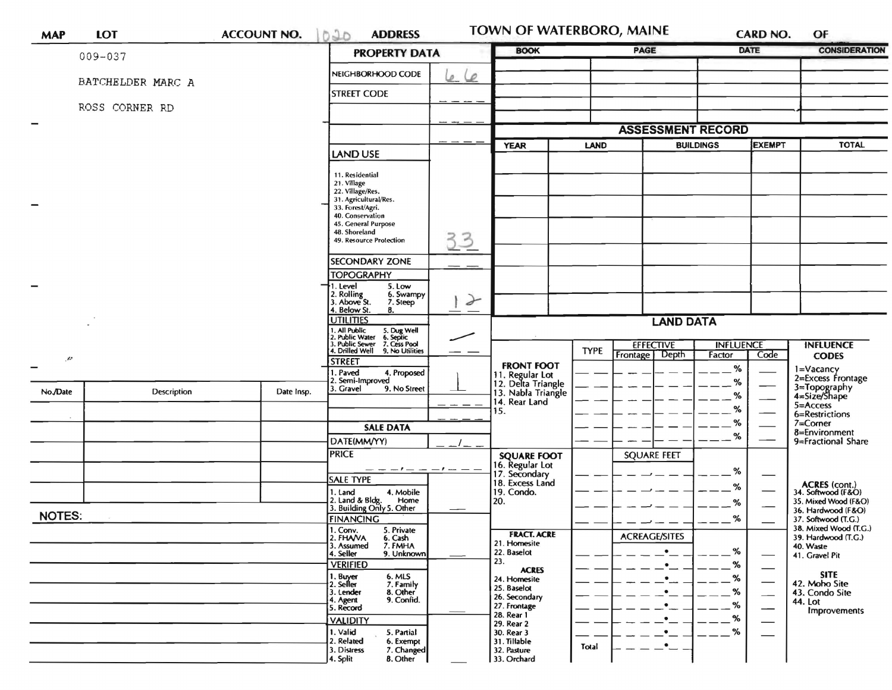| <b>MAP</b>    | <b>LOT</b>        | <b>ACCOUNT NO.</b> | 020<br><b>ADDRESS</b>                                                                                              |               | TOWN OF WATERBORO, MAINE                                                  |             |                                   |                                   | CARD NO.                 | OF                                                          |  |
|---------------|-------------------|--------------------|--------------------------------------------------------------------------------------------------------------------|---------------|---------------------------------------------------------------------------|-------------|-----------------------------------|-----------------------------------|--------------------------|-------------------------------------------------------------|--|
|               | 009-037           |                    | <b>PROPERTY DATA</b>                                                                                               |               | <b>BOOK</b>                                                               |             | <b>PAGE</b>                       |                                   | <b>DATE</b>              | <b>CONSIDERATION</b>                                        |  |
|               |                   |                    | NEIGHBORHOOD CODE                                                                                                  | ے<br>D.       |                                                                           |             |                                   |                                   |                          |                                                             |  |
|               | BATCHELDER MARC A |                    | <b>STREET CODE</b>                                                                                                 |               |                                                                           |             |                                   |                                   |                          |                                                             |  |
|               | ROSS CORNER RD    |                    |                                                                                                                    |               |                                                                           |             |                                   |                                   |                          |                                                             |  |
|               |                   |                    |                                                                                                                    |               | <b>ASSESSMENT RECORD</b>                                                  |             |                                   |                                   |                          |                                                             |  |
|               |                   |                    |                                                                                                                    |               | <b>YEAR</b><br><b>LAND</b>                                                |             |                                   | <b>BUILDINGS</b><br><b>EXEMPT</b> |                          | <b>TOTAL</b>                                                |  |
|               |                   |                    | <b>LAND USE</b>                                                                                                    |               |                                                                           |             |                                   |                                   |                          |                                                             |  |
|               |                   |                    | 11. Residential                                                                                                    |               |                                                                           |             |                                   |                                   |                          |                                                             |  |
|               |                   |                    | 21. Village<br>22. Village/Res.                                                                                    |               |                                                                           |             |                                   |                                   |                          |                                                             |  |
|               |                   |                    | 31. Agricultural/Res.<br>33. Forest/Agri.                                                                          |               |                                                                           |             |                                   |                                   |                          |                                                             |  |
|               |                   |                    | 40. Conservation<br>45. General Purpose<br>48. Shoreland<br>33<br>49. Resource Protection                          |               |                                                                           |             |                                   |                                   |                          |                                                             |  |
|               |                   |                    |                                                                                                                    |               |                                                                           |             |                                   |                                   |                          |                                                             |  |
|               |                   |                    | SECONDARY ZONE                                                                                                     |               |                                                                           |             |                                   |                                   |                          |                                                             |  |
|               |                   |                    | <b>TOPOGRAPHY</b>                                                                                                  | $\rightarrow$ |                                                                           |             |                                   |                                   |                          |                                                             |  |
|               |                   |                    | 5. Low<br>1. Level<br>2. Rolling<br>3. Above St.<br>6. Swampy<br>7. Steep<br>4. Below St.<br>8.                    |               |                                                                           |             |                                   |                                   |                          |                                                             |  |
|               |                   |                    |                                                                                                                    |               |                                                                           |             |                                   |                                   |                          |                                                             |  |
|               |                   |                    | <b>UTILITIES</b>                                                                                                   |               | <b>LAND DATA</b>                                                          |             |                                   |                                   |                          |                                                             |  |
|               |                   |                    | 1. All Public<br>2. Public Water<br>3. Public Sewer<br>4. Drilled Well<br>5. Dug Well<br>6. Septic<br>7. Cess Pool |               |                                                                           |             | <b>EFFECTIVE</b>                  | <b>INFLUENCE</b>                  |                          | <b>INFLUENCE</b>                                            |  |
| $\mu_{\rm r}$ |                   |                    | 9. No Utilities<br><b>STREET</b>                                                                                   |               | <b>FRONT FOOT</b>                                                         | <b>TYPE</b> | Frontage Depth                    | Factor                            | Code                     | <b>CODES</b>                                                |  |
|               |                   |                    | 1. Paved<br>4. Proposed<br>2. Semi-Improved                                                                        |               | 11. Regular Lot<br>12. Delta Triangle                                     |             |                                   | %<br>%                            |                          | 1=Vacancy<br>2=Excess Frontage                              |  |
| No./Date      | Description       | Date Insp.         | 3. Gravel<br>9. No Street                                                                                          |               | 13. Nabla Triangle                                                        |             |                                   | %                                 |                          | 3=Topography<br>4=Size/Shape                                |  |
|               |                   |                    |                                                                                                                    |               | 14. Rear Land<br>15.                                                      |             |                                   | %                                 |                          | 5=Access<br>6=Restrictions                                  |  |
|               |                   |                    | <b>SALE DATA</b>                                                                                                   |               |                                                                           |             |                                   | %                                 |                          | $7 =$ Corner<br>8=Environment                               |  |
|               |                   |                    | DATE(MM/YY)                                                                                                        |               |                                                                           |             |                                   | %                                 |                          | 9=Fractional Share                                          |  |
|               |                   |                    | <b>PRICE</b>                                                                                                       |               | <b>SQUARE FOOT</b><br>16. Regular Lot<br>17. Secondary<br>18. Excess Land |             | <b>SQUARE FEET</b>                |                                   |                          |                                                             |  |
|               |                   |                    | <b>SALE TYPE</b>                                                                                                   |               |                                                                           |             |                                   | %                                 |                          |                                                             |  |
|               |                   |                    | 4. Mobile<br>1. Land<br>Home                                                                                       |               | 19. Condo.<br>20.                                                         |             |                                   | %                                 |                          | ACRES (cont.)<br>34. Softwood (F&O)<br>35. Mixed Wood (F&O) |  |
| <b>NOTES:</b> |                   |                    | 2. Land & Bldg. Home<br>3. Building Only 5. Other                                                                  |               |                                                                           |             |                                   | %<br>$\%$                         |                          | 36. Hardwood (F&O)<br>37. Softwood (T.G.)                   |  |
|               |                   |                    | <b>FINANCING</b><br>1. Conv.<br>5. Private                                                                         |               | <b>FRACT. ACRE</b>                                                        |             |                                   |                                   |                          | 38. Mixed Wood (T.G.)                                       |  |
|               |                   |                    | 2. FHAVA<br>6. Cash<br>3. Assumed<br>7. FMHA                                                                       |               | 21. Homesite<br>22. Baselot                                               |             | <b>ACREAGE/SITES</b><br>$\bullet$ | %                                 |                          | 39. Hardwood (T.G.)<br>40. Waste                            |  |
|               |                   |                    | 4. Seller<br>9. Unknown<br><b>VERIFIED</b>                                                                         |               | 23.                                                                       |             | $\bullet$                         | %                                 |                          | 41. Gravel Pit                                              |  |
|               |                   |                    | 1. Buyer<br>2. Seller<br>6. MLS<br>7. Family                                                                       |               | <b>ACRES</b><br>24. Homesite                                              |             | $\bullet$                         | %                                 | $\qquad \qquad$          | <b>SITE</b><br>42. Moho Site                                |  |
|               |                   |                    | 3. Lender<br>8. Other<br>9. Confid.<br>4. Agent                                                                    |               | 25. Baselot<br>26. Secondary                                              |             | $\bullet$                         | %                                 | $\overline{\phantom{0}}$ | 43. Condo Site<br>44. Lot                                   |  |
|               |                   |                    | 5. Record                                                                                                          |               | 27. Frontage<br>28. Rear 1                                                |             | ٠<br>٠                            | %<br>%                            |                          | Improvements                                                |  |
|               |                   |                    | <b>VALIDITY</b><br>1. Valid<br>5. Partial                                                                          |               | 29. Rear 2<br>30. Rear 3                                                  |             |                                   | %                                 |                          |                                                             |  |
|               |                   |                    | 2. Related<br>6. Exempt<br>3. Distress<br>7. Changed                                                               |               | 31. Tillable<br>32. Pasture                                               | Total       | $\bullet$                         |                                   |                          |                                                             |  |
|               |                   |                    | 4. Split<br>8. Other                                                                                               |               | 33. Orchard                                                               |             |                                   |                                   |                          |                                                             |  |